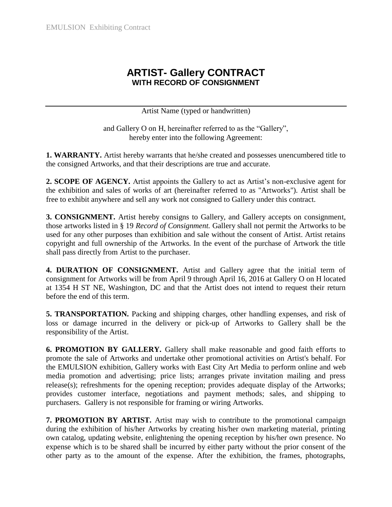## **ARTIST- Gallery CONTRACT WITH RECORD OF CONSIGNMENT**

Artist Name (typed or handwritten)

and Gallery O on H, hereinafter referred to as the "Gallery", hereby enter into the following Agreement:

**1. WARRANTY.** Artist hereby warrants that he/she created and possesses unencumbered title to the consigned Artworks, and that their descriptions are true and accurate.

**2. SCOPE OF AGENCY.** Artist appoints the Gallery to act as Artist's non-exclusive agent for the exhibition and sales of works of art (hereinafter referred to as "Artworks"). Artist shall be free to exhibit anywhere and sell any work not consigned to Gallery under this contract.

**3. CONSIGNMENT.** Artist hereby consigns to Gallery, and Gallery accepts on consignment, those artworks listed in § 19 *Record of Consignment.* Gallery shall not permit the Artworks to be used for any other purposes than exhibition and sale without the consent of Artist. Artist retains copyright and full ownership of the Artworks. In the event of the purchase of Artwork the title shall pass directly from Artist to the purchaser.

**4. DURATION OF CONSIGNMENT.** Artist and Gallery agree that the initial term of consignment for Artworks will be from April 9 through April 16, 2016 at Gallery O on H located at 1354 H ST NE, Washington, DC and that the Artist does not intend to request their return before the end of this term.

**5. TRANSPORTATION.** Packing and shipping charges, other handling expenses, and risk of loss or damage incurred in the delivery or pick-up of Artworks to Gallery shall be the responsibility of the Artist.

**6. PROMOTION BY GALLERY.** Gallery shall make reasonable and good faith efforts to promote the sale of Artworks and undertake other promotional activities on Artist's behalf. For the EMULSION exhibition, Gallery works with East City Art Media to perform online and web media promotion and advertising; price lists; arranges private invitation mailing and press release(s); refreshments for the opening reception; provides adequate display of the Artworks; provides customer interface, negotiations and payment methods; sales, and shipping to purchasers. Gallery is not responsible for framing or wiring Artworks.

**7. PROMOTION BY ARTIST.** Artist may wish to contribute to the promotional campaign during the exhibition of his/her Artworks by creating his/her own marketing material, printing own catalog, updating website, enlightening the opening reception by his/her own presence. No expense which is to be shared shall be incurred by either party without the prior consent of the other party as to the amount of the expense. After the exhibition, the frames, photographs,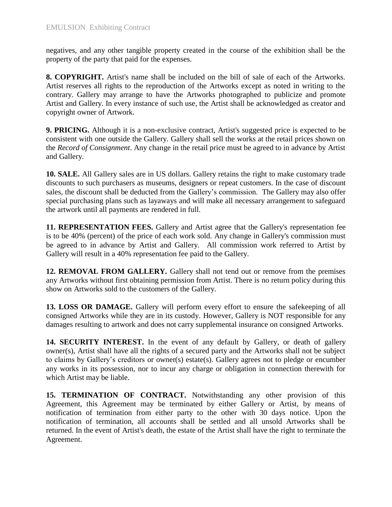negatives, and any other tangible property created in the course of the exhibition shall be the property of the party that paid for the expenses.

**8. COPYRIGHT.** Artist's name shall be included on the bill of sale of each of the Artworks. Artist reserves all rights to the reproduction of the Artworks except as noted in writing to the contrary. Gallery may arrange to have the Artworks photographed to publicize and promote Artist and Gallery. In every instance of such use, the Artist shall be acknowledged as creator and copyright owner of Artwork.

**9. PRICING.** Although it is a non-exclusive contract, Artist's suggested price is expected to be consistent with one outside the Gallery. Gallery shall sell the works at the retail prices shown on the *Record of Consignment*. Any change in the retail price must be agreed to in advance by Artist and Gallery.

**10. SALE.** All Gallery sales are in US dollars. Gallery retains the right to make customary trade discounts to such purchasers as museums, designers or repeat customers. In the case of discount sales, the discount shall be deducted from the Gallery's commission. The Gallery may also offer special purchasing plans such as layaways and will make all necessary arrangement to safeguard the artwork until all payments are rendered in full.

**11. REPRESENTATION FEES.** Gallery and Artist agree that the Gallery's representation fee is to be 40% (percent) of the price of each work sold. Any change in Gallery's commission must be agreed to in advance by Artist and Gallery. All commission work referred to Artist by Gallery will result in a 40% representation fee paid to the Gallery.

**12. REMOVAL FROM GALLERY.** Gallery shall not tend out or remove from the premises any Artworks without first obtaining permission from Artist. There is no return policy during this show on Artworks sold to the customers of the Gallery.

13. LOSS OR DAMAGE. Gallery will perform every effort to ensure the safekeeping of all consigned Artworks while they are in its custody. However, Gallery is NOT responsible for any damages resulting to artwork and does not carry supplemental insurance on consigned Artworks.

**14. SECURITY INTEREST.** In the event of any default by Gallery, or death of gallery owner(s), Artist shall have all the rights of a secured party and the Artworks shall not be subject to claims by Gallery's creditors or owner(s) estate(s). Gallery agrees not to pledge or encumber any works in its possession, nor to incur any charge or obligation in connection therewith for which Artist may be liable.

**15. TERMINATION OF CONTRACT.** Notwithstanding any other provision of this Agreement, this Agreement may be terminated by either Gallery or Artist, by means of notification of termination from either party to the other with 30 days notice. Upon the notification of termination, all accounts shall be settled and all unsold Artworks shall be returned. In the event of Artist's death, the estate of the Artist shall have the right to terminate the Agreement.